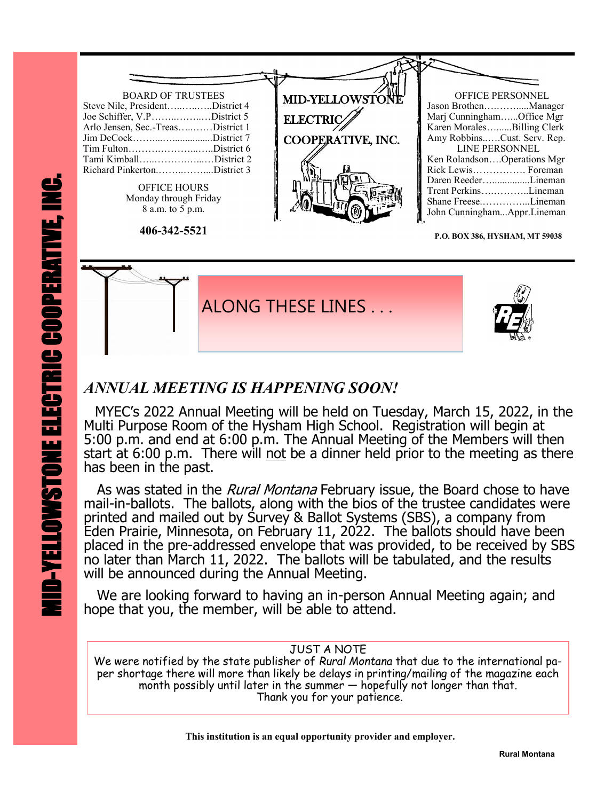### BOARD OF TRUSTEES Steve Nile, President…..…..…..District 4 Joe Schiffer, V.P……..……..…District 5 Arlo Jensen, Sec.-Treas…..……District 1 Jim DeCock……....…................District 7 Tim Fulton……….………...…..District 6 Tami Kimball…..……….…...…District 2 Richard Pinkerton.……..……....District 3 OFFICE HOURS Monday through Friday 8 a.m. to 5 p.m. **406-342-5521** OFFICE PERSONNEL Jason Brothen….…….....Manager Marj Cunningham…...Office Mgr Karen Morales…......Billing Clerk Amy Robbins..….Cust. Serv. Rep. LINE PERSONNEL Ken Rolandson….Operations Mgr Rick Lewis……………. Foreman Daren Reeder…...............Lineman Trent Perkins….………..Lineman Shane Freese.…………...Lineman John Cunningham...Appr.Lineman MID-YELLOWSTON **ELECTRIC** COOPERATIVE, INC.

**P.O. BOX 386, HYSHAM, MT 59038**



# *ANNUAL MEETING IS HAPPENING SOON!*

 MYEC's 2022 Annual Meeting will be held on Tuesday, March 15, 2022, in the Multi Purpose Room of the Hysham High School. Registration will begin at 5:00 p.m. and end at 6:00 p.m. The Annual Meeting of the Members will then start at 6:00 p.m. There will not be a dinner held prior to the meeting as there has been in the past.

As was stated in the *Rural Montana* February issue, the Board chose to have mail-in-ballots. The ballots, along with the bios of the trustee candidates were printed and mailed out by Survey & Ballot Systems (SBS), a company from Eden Prairie, Minnesota, on February 11, 2022. The ballots should have been placed in the pre-addressed envelope that was provided, to be received by SBS no later than March 11, 2022. The ballots will be tabulated, and the results will be announced during the Annual Meeting.

 We are looking forward to having an in-person Annual Meeting again; and hope that you, the member, will be able to attend.

## JUST A NOTE

We were notified by the state publisher of *Rural Montana* that due to the international paper shortage there will more than likely be delays in printing/mailing of the magazine each month possibly until later in the summer — hopefully not longer than that. Thank you for your patience.

 **This institution is an equal opportunity provider and employer.**